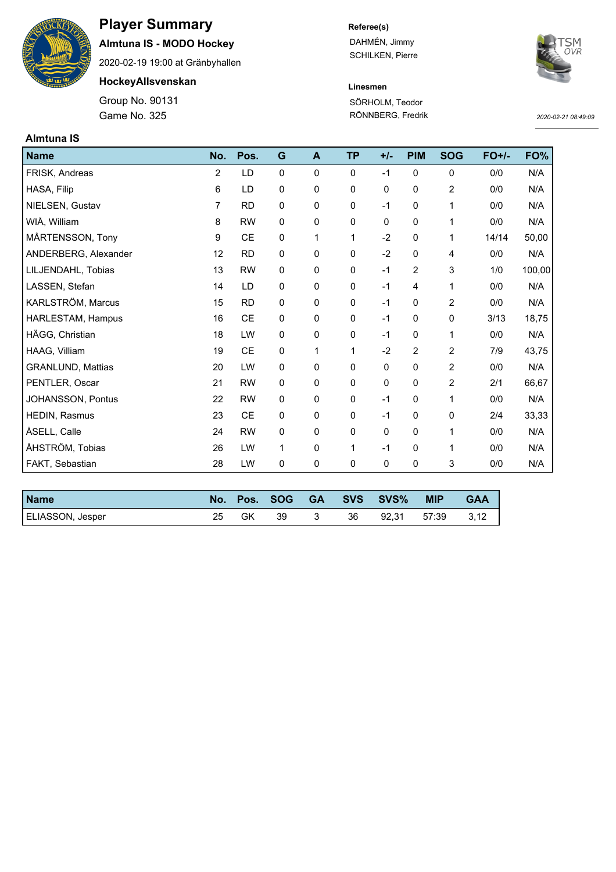

# **Player Summary**

**Almtuna IS - MODO Hockey**

2020-02-19 19:00 at Gränbyhallen

**HockeyAllsvenskan**

Game No. 325 Group No. 90131

## **Referee(s)**

DAHMÉN, Jimmy SCHILKEN, Pierre



## **Linesmen** SÖRHOLM, Teodor

RÖNNBERG, Fredrik

*2020-02-21 08:49:09*

| <b>Almtuna IS</b>        |                |           |              |   |              |       |                |                |         |        |
|--------------------------|----------------|-----------|--------------|---|--------------|-------|----------------|----------------|---------|--------|
| <b>Name</b>              | No.            | Pos.      | G            | A | <b>TP</b>    | $+/-$ | <b>PIM</b>     | <b>SOG</b>     | $FO+/-$ | FO%    |
| FRISK, Andreas           | $\overline{2}$ | LD        | $\mathbf{0}$ | 0 | $\mathbf{0}$ | $-1$  | $\mathbf 0$    | 0              | 0/0     | N/A    |
| HASA, Filip              | 6              | LD        | 0            | 0 | 0            | 0     | 0              | 2              | 0/0     | N/A    |
| NIELSEN, Gustav          | $\overline{7}$ | <b>RD</b> | $\mathbf 0$  | 0 | $\mathbf 0$  | $-1$  | 0              | 1              | 0/0     | N/A    |
| WIÅ, William             | 8              | <b>RW</b> | $\mathbf 0$  | 0 | $\pmb{0}$    | 0     | 0              | 1              | 0/0     | N/A    |
| MÅRTENSSON, Tony         | 9              | <b>CE</b> | 0            | 1 | $\mathbf 1$  | $-2$  | 0              | 1              | 14/14   | 50,00  |
| ANDERBERG, Alexander     | 12             | <b>RD</b> | 0            | 0 | 0            | $-2$  | 0              | 4              | 0/0     | N/A    |
| LILJENDAHL, Tobias       | 13             | <b>RW</b> | $\mathbf 0$  | 0 | $\mathbf 0$  | $-1$  | $\overline{2}$ | 3              | 1/0     | 100,00 |
| LASSEN, Stefan           | 14             | LD        | 0            | 0 | 0            | $-1$  | 4              | 1              | 0/0     | N/A    |
| KARLSTRÖM, Marcus        | 15             | <b>RD</b> | 0            | 0 | $\mathbf 0$  | $-1$  | 0              | $\overline{2}$ | 0/0     | N/A    |
| HARLESTAM, Hampus        | 16             | CE        | 0            | 0 | 0            | $-1$  | 0              | 0              | 3/13    | 18,75  |
| HÄGG, Christian          | 18             | LW        | 0            | 0 | $\mathbf 0$  | $-1$  | 0              | 1              | 0/0     | N/A    |
| HAAG, Villiam            | 19             | <b>CE</b> | 0            | 1 | 1            | $-2$  | 2              | 2              | 7/9     | 43,75  |
| <b>GRANLUND, Mattias</b> | 20             | LW        | $\mathbf 0$  | 0 | $\mathbf 0$  | 0     | 0              | $\overline{2}$ | 0/0     | N/A    |
| PENTLER, Oscar           | 21             | <b>RW</b> | $\mathbf 0$  | 0 | $\mathbf 0$  | 0     | 0              | $\overline{2}$ | 2/1     | 66,67  |
| JOHANSSON, Pontus        | 22             | <b>RW</b> | 0            | 0 | $\mathbf 0$  | $-1$  | 0              | 1              | 0/0     | N/A    |
| HEDIN, Rasmus            | 23             | <b>CE</b> | 0            | 0 | 0            | $-1$  | 0              | 0              | 2/4     | 33,33  |
| ÅSELL, Calle             | 24             | <b>RW</b> | 0            | 0 | $\mathbf 0$  | 0     | 0              | 1              | 0/0     | N/A    |
| ÅHSTRÖM, Tobias          | 26             | LW        | 1            | 0 | $\mathbf{1}$ | $-1$  | 0              | 1              | 0/0     | N/A    |
| FAKT, Sebastian          | 28             | LW        | 0            | 0 | $\mathbf 0$  | 0     | 0              | 3              | 0/0     | N/A    |

| <b>Name</b>             | No. | Pos. | <b>SOG</b> | <b>GA</b> | <b>SVS</b> | SVS <sup>%</sup> | <b>MIP</b> | GAA  |
|-------------------------|-----|------|------------|-----------|------------|------------------|------------|------|
| <b>ELIASSON, Jesper</b> | 25  | GK   | 39         |           | 36         | 92.31            | 57:39      | 3,12 |